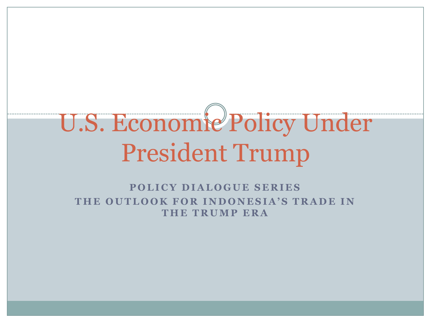# U.S. Economie Policy Under President Trump

**POLICY DIALOGUE SERIES** THE OUTLOOK FOR INDONESIA'S TRADE IN **T H E T R U M P E R A**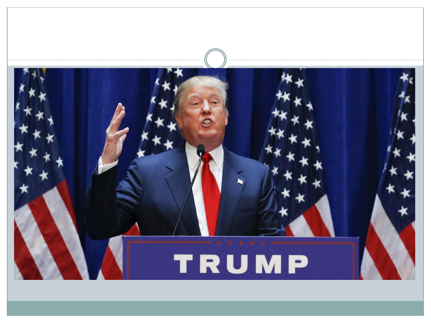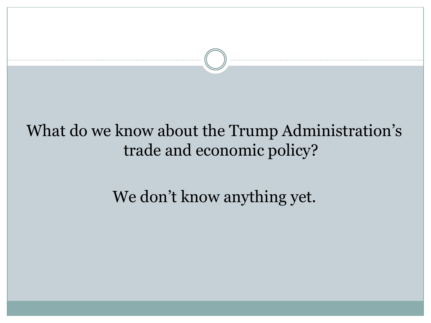#### What do we know about the Trump Administration's trade and economic policy?

We don't know anything yet.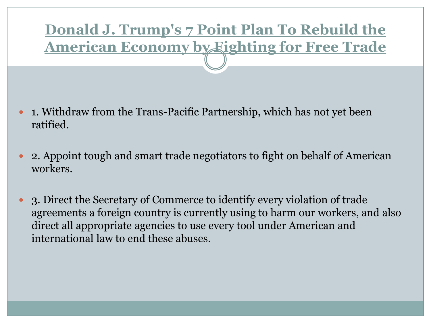#### **Donald J. Trump's 7 Point Plan To Rebuild the American Economy by Fighting for Free Trade**

- 1. Withdraw from the Trans-Pacific Partnership, which has not yet been ratified.
- 2. Appoint tough and smart trade negotiators to fight on behalf of American workers.
- 3. Direct the Secretary of Commerce to identify every violation of trade agreements a foreign country is currently using to harm our workers, and also direct all appropriate agencies to use every tool under American and international law to end these abuses.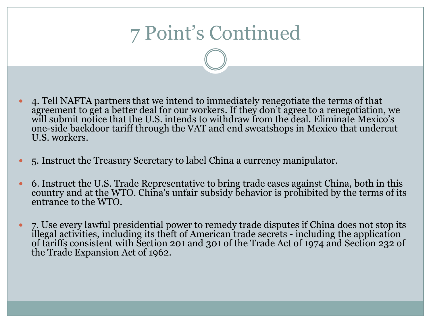# 7 Point's Continued

- 4. Tell NAFTA partners that we intend to immediately renegotiate the terms of that agreement to get a better deal for our workers. If they don't agree to a renegotiation, we will submit notice that the U.S. intends to withdraw from the deal. Eliminate Mexico's one-side backdoor tariff through the VAT and end sweatshops in Mexico that undercut U.S. workers.
- 5. Instruct the Treasury Secretary to label China a currency manipulator.
- 6. Instruct the U.S. Trade Representative to bring trade cases against China, both in this country and at the WTO. China's unfair subsidy behavior is prohibited by the terms of its entrance to the WTO.
- 7. Use every lawful presidential power to remedy trade disputes if China does not stop its illegal activities, including its theft of American trade secrets - including the application of tariffs consistent with Section 201 and 301 of the Trade Act of 1974 and Section 232 of the Trade Expansion Act of 1962.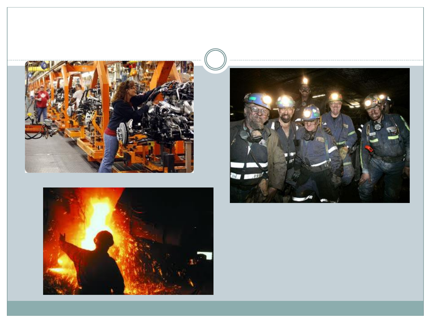



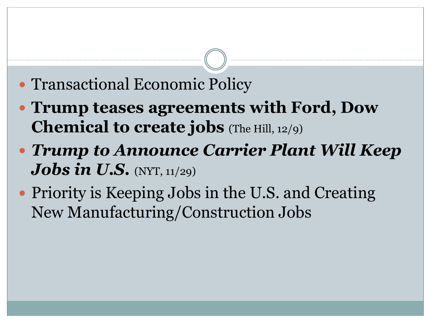- Transactional Economic Policy
- **Trump teases agreements with Ford, Dow Chemical to create jobs** (The Hill, 12/9)
- *Trump to Announce Carrier Plant Will Keep Jobs in U.S.* (NYT, 11/29)
- Priority is Keeping Jobs in the U.S. and Creating New Manufacturing/Construction Jobs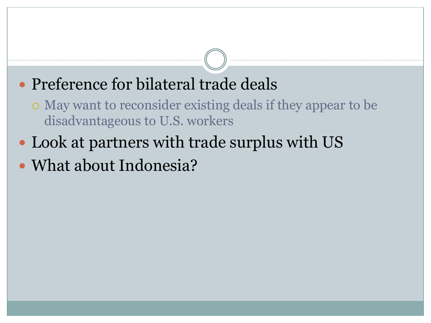#### • Preference for bilateral trade deals

- May want to reconsider existing deals if they appear to be disadvantageous to U.S. workers
- Look at partners with trade surplus with US
- What about Indonesia?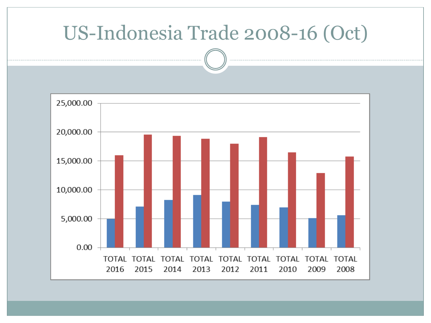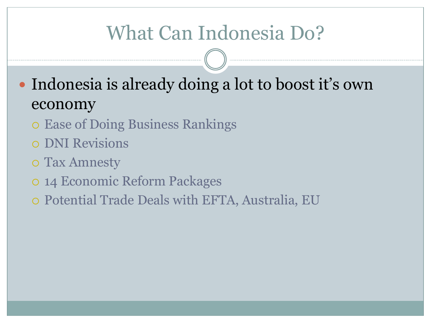## What Can Indonesia Do?

• Indonesia is already doing a lot to boost it's own economy

- Ease of Doing Business Rankings
- DNI Revisions
- Tax Amnesty
- 14 Economic Reform Packages
- Potential Trade Deals with EFTA, Australia, EU